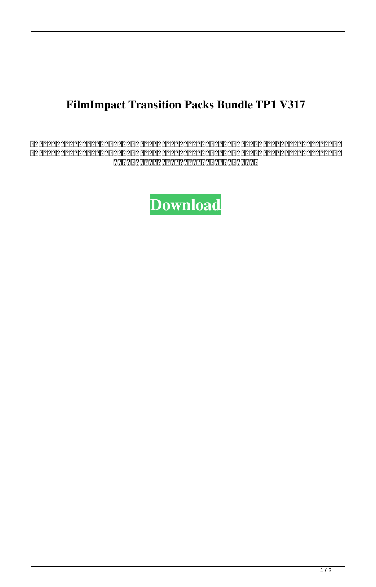## **FilmImpact Transition Packs Bundle TP1 V317**

הוקה הוקומות הוקומות הוקומות הוקומות הוקומות הוקומות הוקומות ה